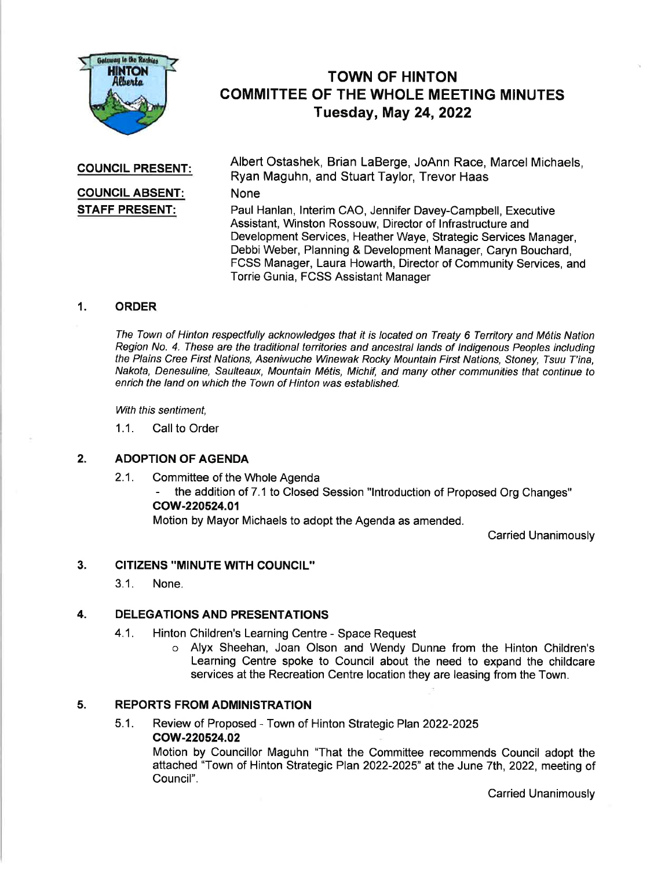

# TOWN OF HINTON COMMITTEE OF THE WHOLE MEETING MINUTES Tuesday, May 24,2022

### COUNCIL PRESENT:

# GOUNGIL ABSENT: STAFF PRESENT:

Albert Ostashek, Brian LaBerge, JoAnn Race, Marcel Michaels, Ryan Maguhn, and Stuart Taylor, Trevor Haas

None

Paul Hanlan, lnterim CAO, Jennifer Davey-Campbell, Executive Assistant, Winston Rossouw, Director of lnfrastructure and Development Services, Heather Waye, Strategic Services Manager, Debbi Weber, Planning & Development Manager, Caryn Bouchard, FCSS Manager, Laura Howarth, Director of Community Services, and Torrie Gunia, FCSS Assistant Manager

# 1. ORDER

The Town of Hinton respectfully acknowledges that it is located on Treaty 6 Territory and M6tis Nation Region No. 4. These are the traditional territories and ancestral lands of lndigenous Peoples including the Plains Cree First Nations, Aseniwuche Winewak Rocky Mountain First Nations, Stoney, Tsuu T'ina, Nakota, Denesuline, Saulteaux, Mountain M6tis, Michif, and many other communities that continue to enrich the land on which the Town of Hinton was established.

With this sentiment.

1.1. Call to Order

#### 2. ADOPTION OF AGENDA

2.1. Committee of the Whole Agenda

- the addition of 7.1 to Closed Session "lntroduction of Proposed Org Changes" cow-220524.01

Motion by Mayor Michaels to adopt the Agenda as amended.

Carried Unanimously

#### CITIZENS "MINUTE WITH COUNCIL'' 3.

3.1. None.

### DELEGATIONS AND PRESENTATIONS 4.

- 4.1. Hinton Children's Learning Centre Space Request
	- o Alyx Sheehan, Joan Olson and Wendy Dunne from the Hinton Children's Learning Centre spoke to Council about the need to expand the childcare services at the Recreation Centre location they are leasing from the Town.

### REPORTS FROM ADMINISTRATION 5.

5.1. Review of Proposed - Town of Hinton Strategic Plan2022-2025

# cow-220524.02

Motion by Councillor Maguhn "That the Committee recommends Council adopt the attached "Town of Hinton Strategic Plan 2022-2025" at the June 7th, 2022, meeting of Council".

Carried Unanimously